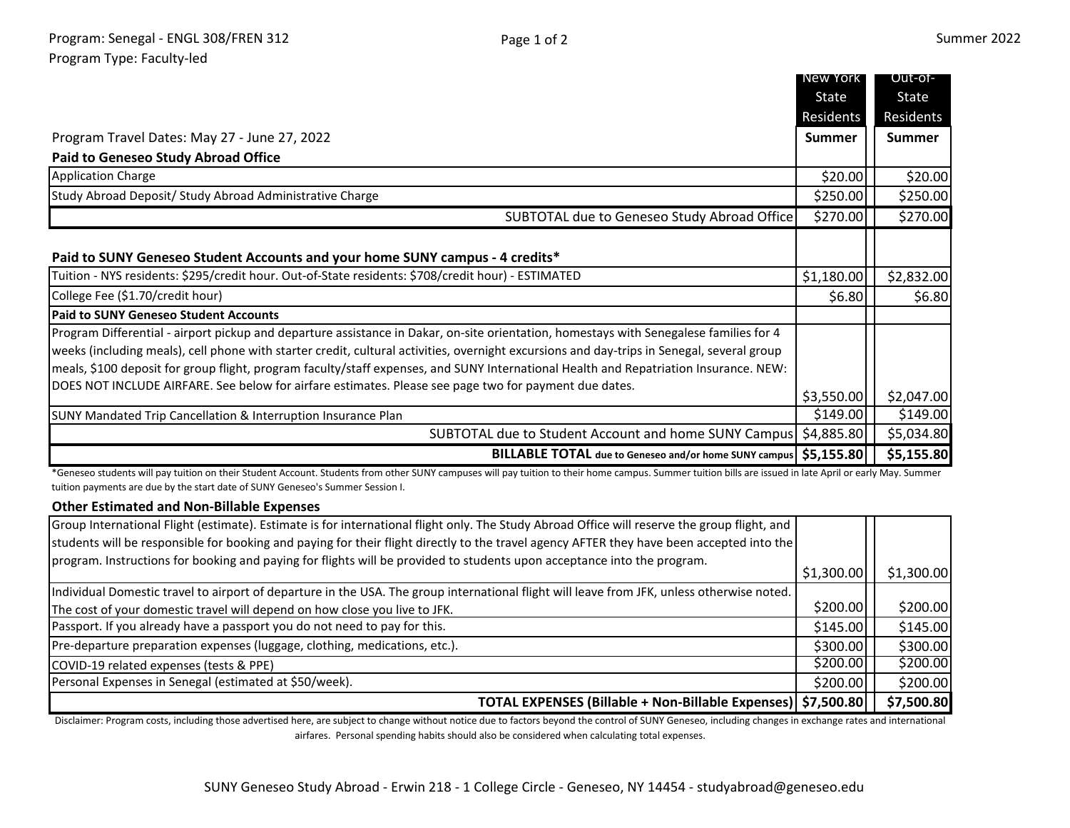|                                                                                                                                            | New York      | Out-of-       |
|--------------------------------------------------------------------------------------------------------------------------------------------|---------------|---------------|
|                                                                                                                                            | <b>State</b>  | State         |
|                                                                                                                                            | Residents     | Residents     |
| Program Travel Dates: May 27 - June 27, 2022                                                                                               | <b>Summer</b> | <b>Summer</b> |
| <b>Paid to Geneseo Study Abroad Office</b>                                                                                                 |               |               |
| <b>Application Charge</b>                                                                                                                  | \$20.00       | \$20.00       |
| Study Abroad Deposit/ Study Abroad Administrative Charge                                                                                   | \$250.00      | \$250.00      |
| SUBTOTAL due to Geneseo Study Abroad Office                                                                                                | \$270.00      | \$270.00      |
|                                                                                                                                            |               |               |
| Paid to SUNY Geneseo Student Accounts and your home SUNY campus - 4 credits*                                                               |               |               |
| Tuition - NYS residents: \$295/credit hour. Out-of-State residents: \$708/credit hour) - ESTIMATED                                         | \$1,180.00    | \$2,832.00    |
| College Fee (\$1.70/credit hour)                                                                                                           | \$6.80        | \$6.80        |
| <b>Paid to SUNY Geneseo Student Accounts</b>                                                                                               |               |               |
| Program Differential - airport pickup and departure assistance in Dakar, on-site orientation, homestays with Senegalese families for 4     |               |               |
| weeks (including meals), cell phone with starter credit, cultural activities, overnight excursions and day-trips in Senegal, several group |               |               |
| meals, \$100 deposit for group flight, program faculty/staff expenses, and SUNY International Health and Repatriation Insurance. NEW:      |               |               |
| DOES NOT INCLUDE AIRFARE. See below for airfare estimates. Please see page two for payment due dates.                                      | \$3,550.00    | \$2,047.00    |
| SUNY Mandated Trip Cancellation & Interruption Insurance Plan                                                                              | \$149.00      | \$149.00      |
| SUBTOTAL due to Student Account and home SUNY Campus                                                                                       | \$4,885.80    | \$5,034.80    |
| BILLABLE TOTAL due to Geneseo and/or home SUNY campus   \$5,155.80                                                                         |               | \$5,155.80    |

\*Geneseo students will pay tuition on their Student Account. Students from other SUNY campuses will pay tuition to their home campus. Summer tuition bills are issued in late April or early May. Summer tuition payments are due by the start date of SUNY Geneseo's Summer Session I.

## **Other Estimated and Non-Billable Expenses**

| Group International Flight (estimate). Estimate is for international flight only. The Study Abroad Office will reserve the group flight, and |            |            |
|----------------------------------------------------------------------------------------------------------------------------------------------|------------|------------|
| students will be responsible for booking and paying for their flight directly to the travel agency AFTER they have been accepted into the    |            |            |
| program. Instructions for booking and paying for flights will be provided to students upon acceptance into the program.                      |            |            |
|                                                                                                                                              | \$1,300.00 | \$1,300.00 |
| Individual Domestic travel to airport of departure in the USA. The group international flight will leave from JFK, unless otherwise noted.   |            |            |
| The cost of your domestic travel will depend on how close you live to JFK.                                                                   | \$200.00   | \$200.00   |
| Passport. If you already have a passport you do not need to pay for this.                                                                    | \$145.00   | \$145.00   |
| Pre-departure preparation expenses (luggage, clothing, medications, etc.).                                                                   | \$300.00   | \$300.00   |
| COVID-19 related expenses (tests & PPE)                                                                                                      | \$200.00   | \$200.00   |
| Personal Expenses in Senegal (estimated at \$50/week).                                                                                       | \$200.00   | \$200.00   |
| TOTAL EXPENSES (Billable + Non-Billable Expenses)   \$7,500.80                                                                               |            | \$7,500.80 |

Disclaimer: Program costs, including those advertised here, are subject to change without notice due to factors beyond the control of SUNY Geneseo, including changes in exchange rates and international airfares. Personal spending habits should also be considered when calculating total expenses.